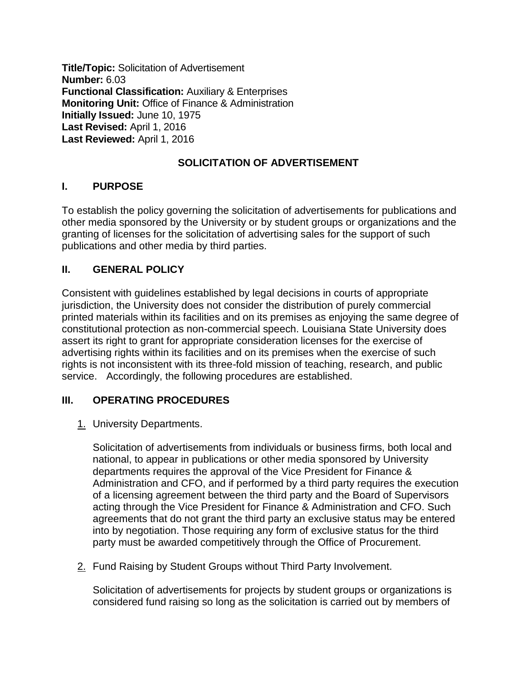**Title/Topic:** Solicitation of Advertisement **Number:** 6.03 **Functional Classification:** Auxiliary & Enterprises **Monitoring Unit:** Office of Finance & Administration **Initially Issued:** June 10, 1975 **Last Revised:** April 1, 2016 **Last Reviewed:** April 1, 2016

# **SOLICITATION OF ADVERTISEMENT**

## **I. PURPOSE**

To establish the policy governing the solicitation of advertisements for publications and other media sponsored by the University or by student groups or organizations and the granting of licenses for the solicitation of advertising sales for the support of such publications and other media by third parties.

## **II. GENERAL POLICY**

Consistent with guidelines established by legal decisions in courts of appropriate jurisdiction, the University does not consider the distribution of purely commercial printed materials within its facilities and on its premises as enjoying the same degree of constitutional protection as non-commercial speech. Louisiana State University does assert its right to grant for appropriate consideration licenses for the exercise of advertising rights within its facilities and on its premises when the exercise of such rights is not inconsistent with its three-fold mission of teaching, research, and public service. Accordingly, the following procedures are established.

## **III. OPERATING PROCEDURES**

1. University Departments.

Solicitation of advertisements from individuals or business firms, both local and national, to appear in publications or other media sponsored by University departments requires the approval of the Vice President for Finance & Administration and CFO, and if performed by a third party requires the execution of a licensing agreement between the third party and the Board of Supervisors acting through the Vice President for Finance & Administration and CFO. Such agreements that do not grant the third party an exclusive status may be entered into by negotiation. Those requiring any form of exclusive status for the third party must be awarded competitively through the Office of Procurement.

2. Fund Raising by Student Groups without Third Party Involvement.

Solicitation of advertisements for projects by student groups or organizations is considered fund raising so long as the solicitation is carried out by members of